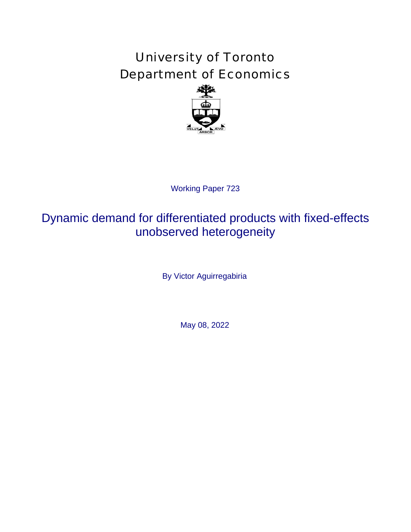# University of Toronto Department of Economics



# Working Paper 723<br>**ferentiated pr<br>erved heterog**<br>Victor Aguirregabir<br>May 08, 2022 Dynamic demand for differentiated products with fixed-effects unobserved heterogeneity

By Victor Aguirregabiria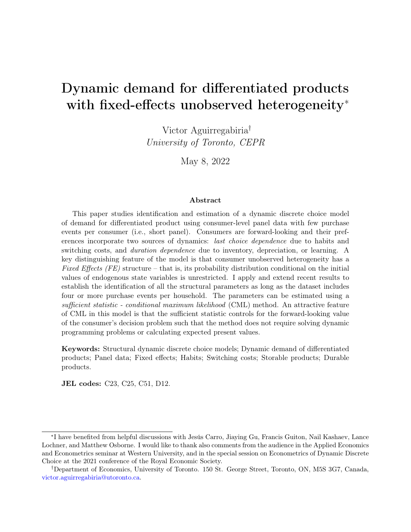# Dynamic demand for differentiated products with fixed-effects unobserved heterogeneity<sup>\*</sup>

Victor Aguirregabiria† University of Toronto, CEPR

May 8, 2022

#### Abstract

This paper studies identification and estimation of a dynamic discrete choice model of demand for differentiated product using consumer-level panel data with few purchase events per consumer (i.e., short panel). Consumers are forward-looking and their preferences incorporate two sources of dynamics: *last choice dependence* due to habits and switching costs, and *duration dependence* due to inventory, depreciation, or learning. A key distinguishing feature of the model is that consumer unobserved heterogeneity has a Fixed Effects (FE) structure – that is, its probability distribution conditional on the initial values of endogenous state variables is unrestricted. I apply and extend recent results to establish the identification of all the structural parameters as long as the dataset includes four or more purchase events per household. The parameters can be estimated using a sufficient statistic - conditional maximum likelihood (CML) method. An attractive feature of CML in this model is that the sufficient statistic controls for the forward-looking value of the consumer's decision problem such that the method does not require solving dynamic programming problems or calculating expected present values.

Keywords: Structural dynamic discrete choice models; Dynamic demand of differentiated products; Panel data; Fixed effects; Habits; Switching costs; Storable products; Durable products.

JEL codes: C23, C25, C51, D12.

<sup>∗</sup> I have benefited from helpful discussions with Jesús Carro, Jiaying Gu, Francis Guiton, Nail Kashaev, Lance Lochner, and Matthew Osborne. I would like to thank also comments from the audience in the Applied Economics and Econometrics seminar at Western University, and in the special session on Econometrics of Dynamic Discrete Choice at the 2021 conference of the Royal Economic Society.

<sup>†</sup>Department of Economics, University of Toronto. 150 St. George Street, Toronto, ON, M5S 3G7, Canada, [victor.aguirregabiria@utoronto.ca.](mailto: victor.aguirregabiria@utoronto.ca)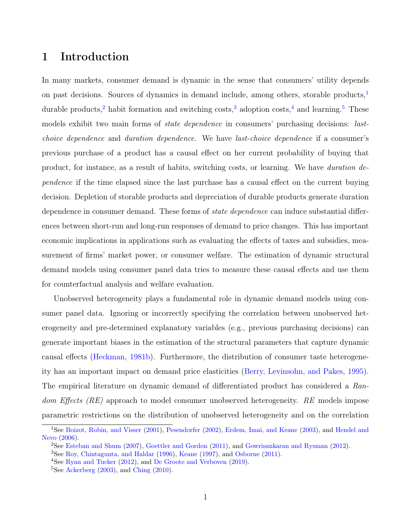# 1 Introduction

In many markets, consumer demand is dynamic in the sense that consumers' utility depends on past decisions. Sources of dynamics in demand include, among others, storable products, $\frac{1}{1}$  $\frac{1}{1}$  $\frac{1}{1}$ durable products,<sup>[2](#page-2-1)</sup> habit formation and switching costs,<sup>[3](#page-2-2)</sup> adoption costs,<sup>[4](#page-2-3)</sup> and learning.<sup>[5](#page-2-4)</sup> These models exhibit two main forms of *state dependence* in consumers' purchasing decisions: *last*choice dependence and duration dependence. We have last-choice dependence if a consumer's previous purchase of a product has a causal effect on her current probability of buying that product, for instance, as a result of habits, switching costs, or learning. We have duration dependence if the time elapsed since the last purchase has a causal effect on the current buying decision. Depletion of storable products and depreciation of durable products generate duration dependence in consumer demand. These forms of *state dependence* can induce substantial differences between short-run and long-run responses of demand to price changes. This has important economic implications in applications such as evaluating the effects of taxes and subsidies, measurement of firms' market power, or consumer welfare. The estimation of dynamic structural demand models using consumer panel data tries to measure these causal effects and use them for counterfactual analysis and welfare evaluation.

Unobserved heterogeneity plays a fundamental role in dynamic demand models using consumer panel data. Ignoring or incorrectly specifying the correlation between unobserved heterogeneity and pre-determined explanatory variables (e.g., previous purchasing decisions) can generate important biases in the estimation of the structural parameters that capture dynamic causal effects [\(Heckman,](#page-24-0) [1981b\)](#page-24-0). Furthermore, the distribution of consumer taste heterogeneity has an important impact on demand price elasticities [\(Berry, Levinsohn, and Pakes,](#page-23-0) [1995\)](#page-23-0). The empirical literature on dynamic demand of differentiated product has considered a Random Effects (RE) approach to model consumer unobserved heterogeneity. RE models impose parametric restrictions on the distribution of unobserved heterogeneity and on the correlation

<span id="page-2-0"></span><sup>&</sup>lt;sup>1</sup>See [Boizot, Robin, and Visser](#page-23-1) [\(2001\)](#page-23-1), [Pesendorfer](#page-25-0) [\(2002\)](#page-25-0), [Erdem, Imai, and Keane](#page-23-2) [\(2003\)](#page-23-2), and [Hendel and](#page-24-1) [Nevo](#page-24-1) [\(2006\)](#page-24-1).

<span id="page-2-1"></span><sup>2</sup>See [Esteban and Shum](#page-24-2) [\(2007\)](#page-24-2), [Goettler and Gordon](#page-24-3) [\(2011\)](#page-24-3), and [Gowrisankaran and Rysman](#page-24-4) [\(2012\)](#page-24-4).

<span id="page-2-2"></span><sup>3</sup>See [Roy, Chintagunta, and Haldar](#page-25-1) [\(1996\)](#page-25-1), [Keane](#page-24-5) [\(1997\)](#page-24-5), and [Osborne](#page-24-6) [\(2011\)](#page-24-6).

<span id="page-2-3"></span><sup>&</sup>lt;sup>4</sup>See [Ryan and Tucker](#page-25-2) [\(2012\)](#page-25-2), and [De Groote and Verboven](#page-23-3) [\(2019\)](#page-23-3).

<span id="page-2-4"></span> ${}^{5}$ See [Ackerberg](#page-23-4) [\(2003\)](#page-23-4), and [Ching](#page-23-5) [\(2010\)](#page-23-5).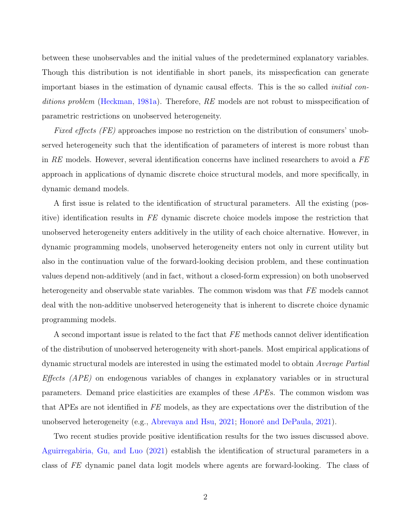between these unobservables and the initial values of the predetermined explanatory variables. Though this distribution is not identifiable in short panels, its misspecfication can generate important biases in the estimation of dynamic causal effects. This is the so called initial con-ditions problem [\(Heckman,](#page-24-7) [1981a\)](#page-24-7). Therefore, RE models are not robust to misspecification of parametric restrictions on unobserved heterogeneity.

Fixed effects (FE) approaches impose no restriction on the distribution of consumers' unobserved heterogeneity such that the identification of parameters of interest is more robust than in RE models. However, several identification concerns have inclined researchers to avoid a  $FE$ approach in applications of dynamic discrete choice structural models, and more specifically, in dynamic demand models.

A first issue is related to the identification of structural parameters. All the existing (positive) identification results in FE dynamic discrete choice models impose the restriction that unobserved heterogeneity enters additively in the utility of each choice alternative. However, in dynamic programming models, unobserved heterogeneity enters not only in current utility but also in the continuation value of the forward-looking decision problem, and these continuation values depend non-additively (and in fact, without a closed-form expression) on both unobserved heterogeneity and observable state variables. The common wisdom was that FE models cannot deal with the non-additive unobserved heterogeneity that is inherent to discrete choice dynamic programming models.

A second important issue is related to the fact that FE methods cannot deliver identification of the distribution of unobserved heterogeneity with short-panels. Most empirical applications of dynamic structural models are interested in using the estimated model to obtain Average Partial Effects (APE) on endogenous variables of changes in explanatory variables or in structural parameters. Demand price elasticities are examples of these APEs. The common wisdom was that APEs are not identified in FE models, as they are expectations over the distribution of the unobserved heterogeneity (e.g., [Abrevaya and Hsu,](#page-23-6) [2021;](#page-23-6) [Honoré and DePaula,](#page-24-8) [2021\)](#page-24-8).

Two recent studies provide positive identification results for the two issues discussed above. [Aguirregabiria, Gu, and Luo](#page-23-7) [\(2021\)](#page-23-7) establish the identification of structural parameters in a class of FE dynamic panel data logit models where agents are forward-looking. The class of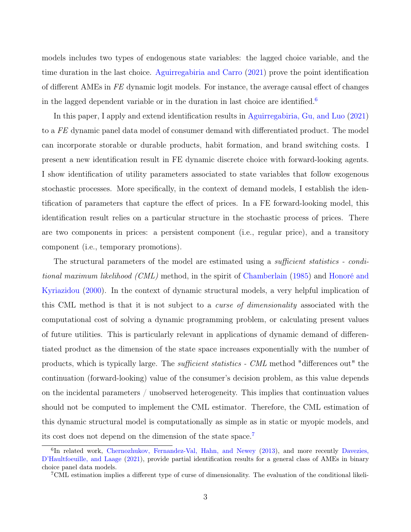models includes two types of endogenous state variables: the lagged choice variable, and the time duration in the last choice. [Aguirregabiria and Carro](#page-23-8) [\(2021\)](#page-23-8) prove the point identification of different AMEs in FE dynamic logit models. For instance, the average causal effect of changes in the lagged dependent variable or in the duration in last choice are identified.<sup>[6](#page-4-0)</sup>

In this paper, I apply and extend identification results in [Aguirregabiria, Gu, and Luo](#page-23-7) [\(2021\)](#page-23-7) to a FE dynamic panel data model of consumer demand with differentiated product. The model can incorporate storable or durable products, habit formation, and brand switching costs. I present a new identification result in FE dynamic discrete choice with forward-looking agents. I show identification of utility parameters associated to state variables that follow exogenous stochastic processes. More specifically, in the context of demand models, I establish the identification of parameters that capture the effect of prices. In a FE forward-looking model, this identification result relies on a particular structure in the stochastic process of prices. There are two components in prices: a persistent component (i.e., regular price), and a transitory component (i.e., temporary promotions).

The structural parameters of the model are estimated using a *sufficient statistics - condi*tional maximum likelihood (CML) method, in the spirit of [Chamberlain](#page-23-9) [\(1985\)](#page-23-9) and [Honoré and](#page-24-9) [Kyriazidou](#page-24-9) [\(2000\)](#page-24-9). In the context of dynamic structural models, a very helpful implication of this CML method is that it is not subject to a curse of dimensionality associated with the computational cost of solving a dynamic programming problem, or calculating present values of future utilities. This is particularly relevant in applications of dynamic demand of differentiated product as the dimension of the state space increases exponentially with the number of products, which is typically large. The sufficient statistics - CML method "differences out" the continuation (forward-looking) value of the consumer's decision problem, as this value depends on the incidental parameters / unobserved heterogeneity. This implies that continuation values should not be computed to implement the CML estimator. Therefore, the CML estimation of this dynamic structural model is computationally as simple as in static or myopic models, and its cost does not depend on the dimension of the state space.[7](#page-4-1)

<span id="page-4-0"></span><sup>&</sup>lt;sup>6</sup>In related work, [Chernozhukov, Fernandez-Val, Hahn, and Newey](#page-23-10) [\(2013\)](#page-23-10), and more recently [Davezies,](#page-23-11) [D'Haultfoeuille, and Laage](#page-23-11) [\(2021\)](#page-23-11), provide partial identification results for a general class of AMEs in binary choice panel data models.

<span id="page-4-1"></span><sup>7</sup>CML estimation implies a different type of curse of dimensionality. The evaluation of the conditional likeli-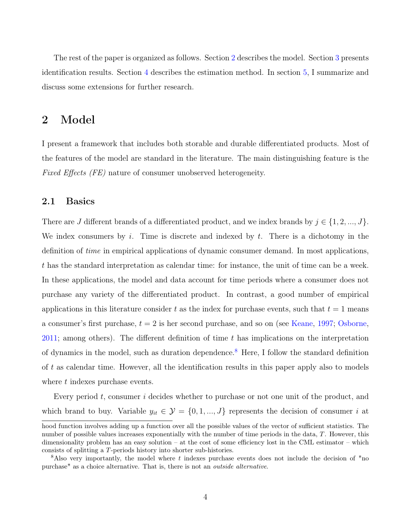The rest of the paper is organized as follows. Section [2](#page-5-0) describes the model. Section [3](#page-11-0) presents identification results. Section [4](#page-20-0) describes the estimation method. In section [5,](#page-22-0) I summarize and discuss some extensions for further research.

# <span id="page-5-0"></span>2 Model

I present a framework that includes both storable and durable differentiated products. Most of the features of the model are standard in the literature. The main distinguishing feature is the Fixed Effects (FE) nature of consumer unobserved heterogeneity.

#### 2.1 Basics

There are J different brands of a differentiated product, and we index brands by  $j \in \{1, 2, ..., J\}$ . We index consumers by i. Time is discrete and indexed by  $t$ . There is a dichotomy in the definition of time in empirical applications of dynamic consumer demand. In most applications, t has the standard interpretation as calendar time: for instance, the unit of time can be a week. In these applications, the model and data account for time periods where a consumer does not purchase any variety of the differentiated product. In contrast, a good number of empirical applications in this literature consider t as the index for purchase events, such that  $t = 1$  means a consumer's first purchase,  $t = 2$  is her second purchase, and so on (see [Keane,](#page-24-5) [1997;](#page-24-5) [Osborne,](#page-24-6) [2011;](#page-24-6) among others). The different definition of time  $t$  has implications on the interpretation of dynamics in the model, such as duration dependence.<sup>[8](#page-5-1)</sup> Here, I follow the standard definition of t as calendar time. However, all the identification results in this paper apply also to models where t indexes purchase events.

Every period t, consumer i decides whether to purchase or not one unit of the product, and which brand to buy. Variable  $y_{it} \in \mathcal{Y} = \{0, 1, ..., J\}$  represents the decision of consumer i at

hood function involves adding up a function over all the possible values of the vector of sufficient statistics. The number of possible values increases exponentially with the number of time periods in the data, T. However, this dimensionality problem has an easy solution – at the cost of some efficiency lost in the CML estimator – which consists of splitting a T-periods history into shorter sub-histories.

<span id="page-5-1"></span> $8$ Also very importantly, the model where t indexes purchase events does not include the decision of "no purchase" as a choice alternative. That is, there is not an outside alternative.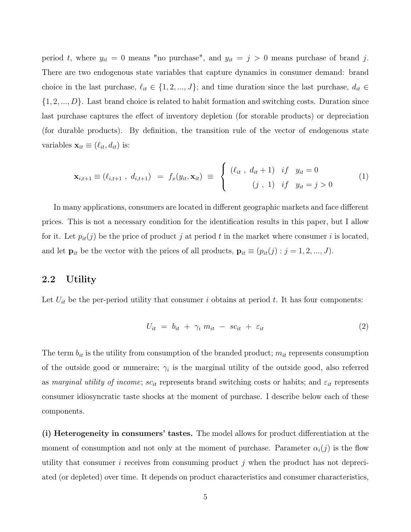period t, where  $y_{it} = 0$  means "no purchase", and  $y_{it} = j > 0$  means purchase of brand j. There are two endogenous state variables that capture dynamics in consumer demand: brand choice in the last purchase,  $\ell_{it} \in \{1, 2, ..., J\}$ ; and time duration since the last purchase,  $d_{it} \in$  $\{1, 2, ..., D\}$ . Last brand choice is related to habit formation and switching costs. Duration since last purchase captures the effect of inventory depletion (for storable products) or depreciation (for durable products). By definition, the transition rule of the vector of endogenous state variables  $\mathbf{x}_{it} \equiv (\ell_{it}, d_{it})$  is:

<span id="page-6-0"></span>
$$
\mathbf{x}_{i,t+1} \equiv (\ell_{i,t+1}, d_{i,t+1}) = f_x(y_{it}, \mathbf{x}_{it}) \equiv \begin{cases} (\ell_{it}, d_{it}+1) & if y_{it} = 0 \\ (j, 1) & if y_{it} = j > 0 \end{cases}
$$
 (1)

In many applications, consumers are located in different geographic markets and face different prices. This is not a necessary condition for the identification results in this paper, but I allow for it. Let  $p_{it}(j)$  be the price of product j at period t in the market where consumer i is located, and let  $\mathbf{p}_{it}$  be the vector with the prices of all products,  $\mathbf{p}_{it} \equiv (p_{it}(j) : j = 1, 2, ..., J)$ .

#### 2.2 Utility

Let  $U_{it}$  be the per-period utility that consumer i obtains at period t. It has four components:

$$
U_{it} = b_{it} + \gamma_i m_{it} - sc_{it} + \varepsilon_{it} \tag{2}
$$

The term  $b_{it}$  is the utility from consumption of the branded product;  $m_{it}$  represents consumption of the outside good or numeraire;  $\gamma_i$  is the marginal utility of the outside good, also referred as marginal utility of income;  $sc_{it}$  represents brand switching costs or habits; and  $\varepsilon_{it}$  represents consumer idiosyncratic taste shocks at the moment of purchase. I describe below each of these components.

(i) Heterogeneity in consumers' tastes. The model allows for product differentiation at the moment of consumption and not only at the moment of purchase. Parameter  $\alpha_i(j)$  is the flow utility that consumer i receives from consuming product j when the product has not depreciated (or depleted) over time. It depends on product characteristics and consumer characteristics,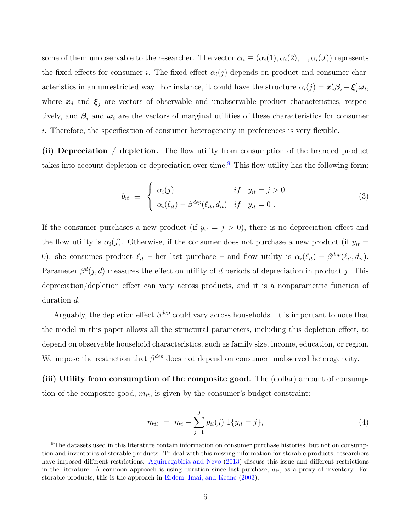some of them unobservable to the researcher. The vector  $\alpha_i \equiv (\alpha_i(1), \alpha_i(2), ..., \alpha_i(J))$  represents the fixed effects for consumer i. The fixed effect  $\alpha_i(j)$  depends on product and consumer characteristics in an unrestricted way. For instance, it could have the structure  $\alpha_i(j) = \mathbf{x}'_j \mathbf{\beta}_i + \boldsymbol{\xi}'_j \boldsymbol{\omega}_i$ , where  $x_j$  and  $\xi_j$  are vectors of observable and unobservable product characteristics, respectively, and  $\beta_i$  and  $\omega_i$  are the vectors of marginal utilities of these characteristics for consumer i. Therefore, the specification of consumer heterogeneity in preferences is very flexible.

(ii) Depreciation / depletion. The flow utility from consumption of the branded product takes into account depletion or depreciation over time.<sup>[9](#page-7-0)</sup> This flow utility has the following form:

$$
b_{it} \equiv \begin{cases} \alpha_i(j) & if \quad y_{it} = j > 0 \\ \alpha_i(\ell_{it}) - \beta^{dep}(\ell_{it}, d_{it}) & if \quad y_{it} = 0 \; . \end{cases} \tag{3}
$$

If the consumer purchases a new product (if  $y_{it} = j > 0$ ), there is no depreciation effect and the flow utility is  $\alpha_i(j)$ . Otherwise, if the consumer does not purchase a new product (if  $y_{it}$  = 0), she consumes product  $\ell_{it}$  – her last purchase – and flow utility is  $\alpha_i(\ell_{it}) - \beta^{dep}(\ell_{it}, d_{it})$ . Parameter  $\beta^d(j, d)$  measures the effect on utility of d periods of depreciation in product j. This depreciation/depletion effect can vary across products, and it is a nonparametric function of duration d.

Arguably, the depletion effect  $\beta^{dep}$  could vary across households. It is important to note that the model in this paper allows all the structural parameters, including this depletion effect, to depend on observable household characteristics, such as family size, income, education, or region. We impose the restriction that  $\beta^{dep}$  does not depend on consumer unobserved heterogeneity.

(iii) Utility from consumption of the composite good. The (dollar) amount of consumption of the composite good,  $m_{it}$ , is given by the consumer's budget constraint:

$$
m_{it} = m_i - \sum_{j=1}^{J} p_{it}(j) \ 1\{y_{it} = j\},\tag{4}
$$

<span id="page-7-0"></span><sup>&</sup>lt;sup>9</sup>The datasets used in this literature contain information on consumer purchase histories, but not on consumption and inventories of storable products. To deal with this missing information for storable products, researchers have imposed different restrictions. [Aguirregabiria and Nevo](#page-23-12) [\(2013\)](#page-23-12) discuss this issue and different restrictions in the literature. A common approach is using duration since last purchase,  $d_{it}$ , as a proxy of inventory. For storable products, this is the approach in [Erdem, Imai, and Keane](#page-23-2) [\(2003\)](#page-23-2).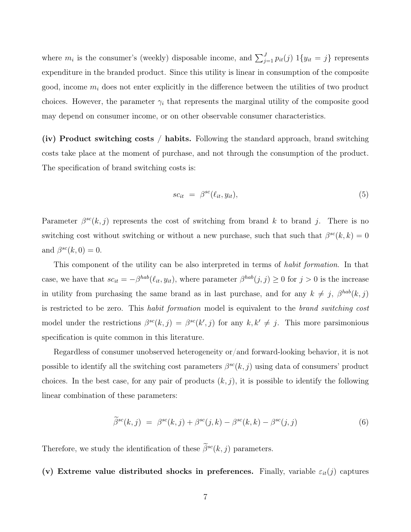where  $m_i$  is the consumer's (weekly) disposable income, and  $\sum_{j=1}^{J} p_{it}(j) 1\{y_{it} = j\}$  represents expenditure in the branded product. Since this utility is linear in consumption of the composite good, income  $m_i$  does not enter explicitly in the difference between the utilities of two product choices. However, the parameter  $\gamma_i$  that represents the marginal utility of the composite good may depend on consumer income, or on other observable consumer characteristics.

(iv) Product switching costs / habits. Following the standard approach, brand switching costs take place at the moment of purchase, and not through the consumption of the product. The specification of brand switching costs is:

$$
sc_{it} = \beta^{sc}(\ell_{it}, y_{it}), \tag{5}
$$

Parameter  $\beta^{sc}(k, j)$  represents the cost of switching from brand k to brand j. There is no switching cost without switching or without a new purchase, such that such that  $\beta^{sc}(k, k) = 0$ and  $\beta^{sc}(k,0) = 0$ .

This component of the utility can be also interpreted in terms of habit formation. In that case, we have that  $sc_{it} = -\beta^{hab}(\ell_{it}, y_{it})$ , where parameter  $\beta^{hab}(j, j) \geq 0$  for  $j > 0$  is the increase in utility from purchasing the same brand as in last purchase, and for any  $k \neq j$ ,  $\beta^{hab}(k, j)$ is restricted to be zero. This habit formation model is equivalent to the brand switching cost model under the restrictions  $\beta^{sc}(k, j) = \beta^{sc}(k', j)$  for any  $k, k' \neq j$ . This more parsimonious specification is quite common in this literature.

Regardless of consumer unobserved heterogeneity or/and forward-looking behavior, it is not possible to identify all the switching cost parameters  $\beta^{sc}(k, j)$  using data of consumers' product choices. In the best case, for any pair of products  $(k, j)$ , it is possible to identify the following linear combination of these parameters:

$$
\widetilde{\beta}^{sc}(k,j) = \beta^{sc}(k,j) + \beta^{sc}(j,k) - \beta^{sc}(k,k) - \beta^{sc}(j,j)
$$
\n(6)

Therefore, we study the identification of these  $\tilde{\beta}^{sc}(k, j)$  parameters.

(v) Extreme value distributed shocks in preferences. Finally, variable  $\varepsilon_{it}(j)$  captures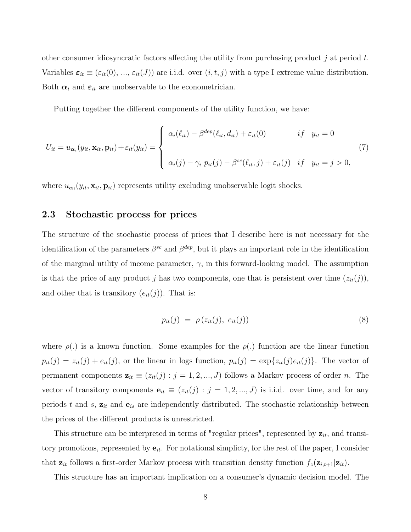other consumer idiosyncratic factors affecting the utility from purchasing product j at period t. Variables  $\varepsilon_{it} \equiv (\varepsilon_{it}(0), ..., \varepsilon_{it}(J))$  are i.i.d. over  $(i, t, j)$  with a type I extreme value distribution. Both  $\alpha_i$  and  $\varepsilon_{it}$  are unobservable to the econometrician.

Putting together the different components of the utility function, we have:

$$
U_{it} = u_{\alpha_i}(y_{it}, \mathbf{x}_{it}, \mathbf{p}_{it}) + \varepsilon_{it}(y_{it}) = \begin{cases} \alpha_i(\ell_{it}) - \beta^{dep}(\ell_{it}, d_{it}) + \varepsilon_{it}(0) & if y_{it} = 0\\ \alpha_i(j) - \gamma_i p_{it}(j) - \beta^{sc}(\ell_{it}, j) + \varepsilon_{it}(j) & if y_{it} = j > 0, \end{cases}
$$
(7)

where  $u_{\alpha_i}(y_{it}, \mathbf{x}_{it}, \mathbf{p}_{it})$  represents utility excluding unobservable logit shocks.

#### 2.3 Stochastic process for prices

The structure of the stochastic process of prices that I describe here is not necessary for the identification of the parameters  $\beta^{sc}$  and  $\beta^{dep}$ , but it plays an important role in the identification of the marginal utility of income parameter,  $\gamma$ , in this forward-looking model. The assumption is that the price of any product j has two components, one that is persistent over time  $(z_{it}(j))$ , and other that is transitory  $(e_{it}(j))$ . That is:

$$
p_{it}(j) = \rho(z_{it}(j), e_{it}(j)) \tag{8}
$$

where  $\rho(.)$  is a known function. Some examples for the  $\rho(.)$  function are the linear function  $p_{it}(j) = z_{it}(j) + e_{it}(j)$ , or the linear in logs function,  $p_{it}(j) = \exp\{z_{it}(j)e_{it}(j)\}\$ . The vector of permanent components  $\mathbf{z}_{it} \equiv (z_{it}(j) : j = 1, 2, ..., J)$  follows a Markov process of order n. The vector of transitory components  $e_{it} \equiv (z_{it}(j) : j = 1, 2, ..., J)$  is i.i.d. over time, and for any periods t and s,  $z_{it}$  and  $e_{is}$  are independently distributed. The stochastic relationship between the prices of the different products is unrestricted.

This structure can be interpreted in terms of "regular prices", represented by  $z_{it}$ , and transitory promotions, represented by  $e_{it}$ . For notational simplicty, for the rest of the paper, I consider that  $z_{it}$  follows a first-order Markov process with transition density function  $f_z(\mathbf{z}_{i,t+1}|\mathbf{z}_{it})$ .

This structure has an important implication on a consumer's dynamic decision model. The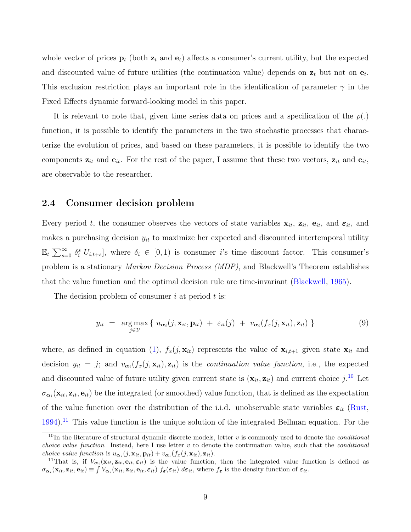whole vector of prices  $\mathbf{p}_t$  (both  $\mathbf{z}_t$  and  $\mathbf{e}_t$ ) affects a consumer's current utility, but the expected and discounted value of future utilities (the continuation value) depends on  $z_t$  but not on  $e_t$ . This exclusion restriction plays an important role in the identification of parameter  $\gamma$  in the Fixed Effects dynamic forward-looking model in this paper.

It is relevant to note that, given time series data on prices and a specification of the  $\rho(.)$ function, it is possible to identify the parameters in the two stochastic processes that characterize the evolution of prices, and based on these parameters, it is possible to identify the two components  $z_{it}$  and  $e_{it}$ . For the rest of the paper, I assume that these two vectors,  $z_{it}$  and  $e_{it}$ , are observable to the researcher.

#### 2.4 Consumer decision problem

Every period t, the consumer observes the vectors of state variables  $\mathbf{x}_{it}$ ,  $\mathbf{z}_{it}$ ,  $\mathbf{e}_{it}$ , and  $\boldsymbol{\varepsilon}_{it}$ , and makes a purchasing decision  $y_{it}$  to maximize her expected and discounted intertemporal utility  $\mathbb{E}_t\left[\sum_{s=0}^{\infty} \delta_i^s U_{i,t+s}\right]$ , where  $\delta_i \in [0,1)$  is consumer *i*'s time discount factor. This consumer's problem is a stationary Markov Decision Process (MDP), and Blackwell's Theorem establishes that the value function and the optimal decision rule are time-invariant [\(Blackwell,](#page-23-13) [1965\)](#page-23-13).

The decision problem of consumer  $i$  at period  $t$  is:

$$
y_{it} = \underset{j \in \mathcal{Y}}{\arg \max} \{ u_{\alpha_i}(j, \mathbf{x}_{it}, \mathbf{p}_{it}) + \varepsilon_{it}(j) + v_{\alpha_i}(f_x(j, \mathbf{x}_{it}), \mathbf{z}_{it}) \}
$$
(9)

where, as defined in equation [\(1\)](#page-6-0),  $f_x(j, \mathbf{x}_{it})$  represents the value of  $\mathbf{x}_{i,t+1}$  given state  $\mathbf{x}_{it}$  and decision  $y_{it} = j$ ; and  $v_{\alpha_i}(f_x(j, \mathbf{x}_{it}), \mathbf{z}_{it})$  is the *continuation value function*, i.e., the expected and discounted value of future utility given current state is  $(\mathbf{x}_{it}, \mathbf{z}_{it})$  and current choice  $j$ .<sup>[10](#page-10-0)</sup> Let  $\sigma_{\alpha_i}(\mathbf{x}_{it}, \mathbf{z}_{it}, \mathbf{e}_{it})$  be the integrated (or smoothed) value function, that is defined as the expectation of the value function over the distribution of the i.i.d. unobservable state variables  $\varepsilon_{it}$  [\(Rust,](#page-25-3)  $1994$ <sup>[11](#page-10-1)</sup> This value function is the unique solution of the integrated Bellman equation. For the

<span id="page-10-0"></span><sup>&</sup>lt;sup>10</sup>In the literature of structural dynamic discrete models, letter v is commonly used to denote the *conditional choice value function.* Instead, here I use letter  $v$  to denote the continuation value, such that the *conditional* choice value function is  $u_{\alpha_i}(j, \mathbf{x}_{it}, \mathbf{p}_{it}) + v_{\alpha_i}(f_x(j, \mathbf{x}_{it}), \mathbf{z}_{it}).$ 

<span id="page-10-1"></span><sup>&</sup>lt;sup>11</sup>That is, if  $V_{\alpha_i}(\mathbf{x}_{it}, \mathbf{z}_{it}, \mathbf{e}_{it}, \varepsilon_{it})$  is the value function, then the integrated value function is defined as  $\sigma_{\alpha_i}(\mathbf{x}_{it}, \mathbf{z}_{it}, \mathbf{e}_{it}) \equiv \int V_{\alpha_i}(\mathbf{x}_{it}, \mathbf{z}_{it}, \mathbf{e}_{it}, \varepsilon_{it}) f_{\varepsilon}(\varepsilon_{it}) d\varepsilon_{it}$ , where  $f_{\varepsilon}$  is the density function of  $\varepsilon_{it}$ .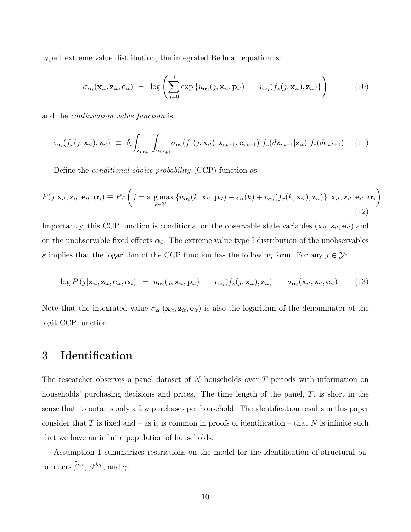type I extreme value distribution, the integrated Bellman equation is:

$$
\sigma_{\alpha_i}(\mathbf{x}_{it}, \mathbf{z}_{it}, \mathbf{e}_{it}) = \log \left( \sum_{j=0}^J \exp \left\{ u_{\alpha_i}(j, \mathbf{x}_{it}, \mathbf{p}_{it}) + v_{\alpha_i}(f_x(j, \mathbf{x}_{it}), \mathbf{z}_{it}) \right\} \right) \tag{10}
$$

and the continuation value function is:

$$
v_{\boldsymbol{\alpha}_i}(f_x(j,\mathbf{x}_{it}),\mathbf{z}_{it}) \equiv \delta_i \int_{\mathbf{z}_{i,t+1}} \int_{\mathbf{e}_{i,t+1}} \sigma_{\boldsymbol{\alpha}_i}(f_x(j,\mathbf{x}_{it}),\mathbf{z}_{i,t+1},\mathbf{e}_{i,t+1}) f_z(d\mathbf{z}_{i,t+1}|\mathbf{z}_{it}) f_e(d\mathbf{e}_{i,t+1}) \quad (11)
$$

Define the *conditional choice probability* (CCP) function as:

$$
P(j|\mathbf{x}_{it}, \mathbf{z}_{it}, \mathbf{e}_{it}, \alpha_i) \equiv Pr\left(j = \underset{k \in \mathcal{Y}}{\arg \max} \left\{ u_{\alpha_i}(k, \mathbf{x}_{it}, \mathbf{p}_{it}) + \varepsilon_{it}(k) + v_{\alpha_i}(f_x(k, \mathbf{x}_{it}), \mathbf{z}_{it}) \right\} |\mathbf{x}_{it}, \mathbf{z}_{it}, \mathbf{e}_{it}, \alpha_i\right)
$$
\n(12)

Importantly, this CCP function is conditional on the observable state variables  $(\mathbf{x}_{it}, \mathbf{z}_{it}, \mathbf{e}_{it})$  and on the unobservable fixed effects  $\alpha_i$ . The extreme value type I distribution of the unobservables  $\varepsilon$  implies that the logarithm of the CCP function has the following form. For any  $j \in \mathcal{Y}$ :

<span id="page-11-1"></span>
$$
\log P(j|\mathbf{x}_{it}, \mathbf{z}_{it}, \mathbf{e}_{it}, \boldsymbol{\alpha}_{i}) = u_{\boldsymbol{\alpha}_{i}}(j, \mathbf{x}_{it}, \mathbf{p}_{it}) + v_{\boldsymbol{\alpha}_{i}}(f_{x}(j, \mathbf{x}_{it}), \mathbf{z}_{it}) - \sigma_{\boldsymbol{\alpha}_{i}}(\mathbf{x}_{it}, \mathbf{z}_{it}, \mathbf{e}_{it}) \qquad (13)
$$

Note that the integrated value  $\sigma_{\alpha_i}(\mathbf{x}_{it}, \mathbf{z}_{it}, \mathbf{e}_{it})$  is also the logarithm of the denominator of the logit CCP function.

## <span id="page-11-0"></span>3 Identification

The researcher observes a panel dataset of  $N$  households over  $T$  periods with information on households' purchasing decisions and prices. The time length of the panel, T, is short in the sense that it contains only a few purchases per household. The identification results in this paper consider that T is fixed and – as it is common in proofs of identification – that N is infinite such that we have an infinite population of households.

Assumption 1 summarizes restrictions on the model for the identification of structural parameters  $\beta^{sc}$ ,  $\beta^{dep}$ , and  $\gamma$ .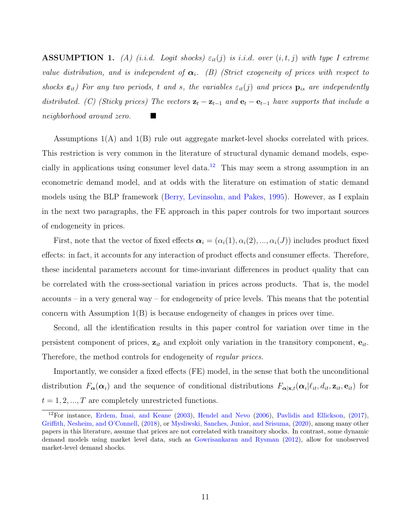**ASSUMPTION 1.** (A) (i.i.d. Logit shocks)  $\varepsilon_{it}(j)$  is i.i.d. over  $(i, t, j)$  with type I extreme value distribution, and is independent of  $\alpha_i$ . (B) (Strict exogeneity of prices with respect to shocks  $\varepsilon_{it}$ ) For any two periods, t and s, the variables  $\varepsilon_{it}(j)$  and prices  $p_{is}$  are independently distributed. (C) (Sticky prices) The vectors  $\mathbf{z}_t - \mathbf{z}_{t-1}$  and  $\mathbf{e}_t - \mathbf{e}_{t-1}$  have supports that include a neighborhood around zero.

Assumptions 1(A) and 1(B) rule out aggregate market-level shocks correlated with prices. This restriction is very common in the literature of structural dynamic demand models, espe-cially in applications using consumer level data.<sup>[12](#page-12-0)</sup> This may seem a strong assumption in an econometric demand model, and at odds with the literature on estimation of static demand models using the BLP framework [\(Berry, Levinsohn, and Pakes,](#page-23-0) [1995\)](#page-23-0). However, as I explain in the next two paragraphs, the FE approach in this paper controls for two important sources of endogeneity in prices.

First, note that the vector of fixed effects  $\boldsymbol{\alpha}_i = (\alpha_i(1), \alpha_i(2), ..., \alpha_i(J))$  includes product fixed effects: in fact, it accounts for any interaction of product effects and consumer effects. Therefore, these incidental parameters account for time-invariant differences in product quality that can be correlated with the cross-sectional variation in prices across products. That is, the model accounts – in a very general way – for endogeneity of price levels. This means that the potential concern with Assumption 1(B) is because endogeneity of changes in prices over time.

Second, all the identification results in this paper control for variation over time in the persistent component of prices,  $z_{it}$  and exploit only variation in the transitory component,  $e_{it}$ . Therefore, the method controls for endogeneity of *regular prices*.

Importantly, we consider a fixed effects (FE) model, in the sense that both the unconditional distribution  $F_{\alpha}(\alpha_i)$  and the sequence of conditional distributions  $F_{\alpha|x,t}(\alpha_i|\ell_{it}, d_{it}, \mathbf{z}_{it}, \mathbf{e}_{it})$  for  $t = 1, 2, ..., T$  are completely unrestricted functions.

<span id="page-12-0"></span> $12$ For instance, [Erdem, Imai, and Keane](#page-23-2) [\(2003\)](#page-23-2), [Hendel and Nevo](#page-24-1) [\(2006\)](#page-24-1), [Pavlidis and Ellickson,](#page-25-4) [\(2017\)](#page-25-4), [Griffith, Nesheim, and O'Connell,](#page-24-10) [\(2018\)](#page-24-10), or [Mysliwski, Sanches, Junior, and Srisuma,](#page-24-11) [\(2020\)](#page-24-11), among many other papers in this literature, assume that prices are not correlated with transitory shocks. In contrast, some dynamic demand models using market level data, such as [Gowrisankaran and Rysman](#page-24-4) [\(2012\)](#page-24-4), allow for unobserved market-level demand shocks.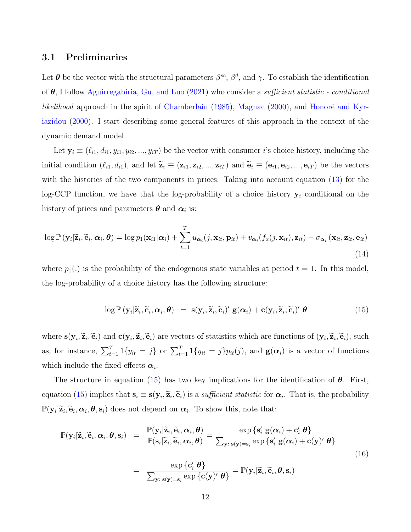#### 3.1 Preliminaries

Let  $\theta$  be the vector with the structural parameters  $\beta^{sc}$ ,  $\beta^{d}$ , and  $\gamma$ . To establish the identification of  $\theta$ , I follow [Aguirregabiria, Gu, and Luo](#page-23-7) [\(2021\)](#page-23-7) who consider a *sufficient statistic - conditional* likelihood approach in the spirit of [Chamberlain](#page-23-9) [\(1985\)](#page-23-9), [Magnac](#page-24-12) [\(2000\)](#page-24-12), and [Honoré and Kyr](#page-24-9)[iazidou](#page-24-9) [\(2000\)](#page-24-9). I start describing some general features of this approach in the context of the dynamic demand model.

Let  $y_i \equiv (\ell_{i1}, d_{i1}, y_{i1}, y_{i2}, ..., y_{iT})$  be the vector with consumer i's choice history, including the initial condition  $(\ell_{i1}, d_{i1})$ , and let  $\widetilde{\mathbf{z}}_i \equiv (\mathbf{z}_{i1}, \mathbf{z}_{i2}, ..., \mathbf{z}_{iT})$  and  $\widetilde{\mathbf{e}}_i \equiv (\mathbf{e}_{i1}, \mathbf{e}_{i2}, ..., \mathbf{e}_{iT})$  be the vectors with the histories of the two components in prices. Taking into account equation  $(13)$  for the log-CCP function, we have that the log-probability of a choice history  $y_i$  conditional on the history of prices and parameters  $\boldsymbol{\theta}$  and  $\boldsymbol{\alpha}_i$  is:

$$
\log \mathbb{P}\left(\mathbf{y}_{i}|\widetilde{\mathbf{z}}_{i},\widetilde{\mathbf{e}}_{i},\boldsymbol{\alpha}_{i},\boldsymbol{\theta}\right) = \log p_{1}(\mathbf{x}_{i1}|\boldsymbol{\alpha}_{i}) + \sum_{t=1}^{T} u_{\boldsymbol{\alpha}_{i}}(j,\mathbf{x}_{it},\mathbf{p}_{it}) + v_{\boldsymbol{\alpha}_{i}}(f_{x}(j,\mathbf{x}_{it}),\mathbf{z}_{it}) - \sigma_{\boldsymbol{\alpha}_{i}}\left(\mathbf{x}_{it},\mathbf{z}_{it},\mathbf{e}_{it}\right)
$$
\n(14)

where  $p_1(.)$  is the probability of the endogenous state variables at period  $t = 1$ . In this model, the log-probability of a choice history has the following structure:

<span id="page-13-0"></span>
$$
\log \mathbb{P}\left(\mathbf{y}_i | \widetilde{\mathbf{z}}_i, \widetilde{\mathbf{e}}_i, \boldsymbol{\alpha}_i, \boldsymbol{\theta}\right) = \mathbf{s}(\mathbf{y}_i, \widetilde{\mathbf{z}}_i, \widetilde{\mathbf{e}}_i)' \mathbf{g}(\boldsymbol{\alpha}_i) + \mathbf{c}(\mathbf{y}_i, \widetilde{\mathbf{z}}_i, \widetilde{\mathbf{e}}_i)' \boldsymbol{\theta}
$$
(15)

where  $\mathbf{s}(\mathbf{y}_i, \widetilde{\mathbf{z}}_i, \widetilde{\mathbf{e}}_i)$  and  $\mathbf{c}(\mathbf{y}_i, \widetilde{\mathbf{z}}_i, \widetilde{\mathbf{e}}_i)$  are vectors of statistics which are functions of  $(\mathbf{y}_i, \widetilde{\mathbf{z}}_i, \widetilde{\mathbf{e}}_i)$ , such as, for instance,  $\sum_{t=1}^{T} 1\{y_{it} = j\}$  or  $\sum_{t=1}^{T} 1\{y_{it} = j\} p_{it}(j)$ , and  $\mathbf{g}(\alpha_i)$  is a vector of functions which include the fixed effects  $\alpha_i$ .

The structure in equation [\(15\)](#page-13-0) has two key implications for the identification of  $\theta$ . First, equation [\(15\)](#page-13-0) implies that  $s_i \equiv s(y_i, \tilde{z}_i, \tilde{e}_i)$  is a *sufficient statistic* for  $\alpha_i$ . That is, the probability  $\mathbb{P}(\mathbf{y}_i|\widetilde{\mathbf{z}}_i, \widetilde{\mathbf{e}}_i, \boldsymbol{\alpha}_i, \boldsymbol{\theta}, \mathbf{s}_i)$  does not depend on  $\boldsymbol{\alpha}_i$ . To show this, note that:

<span id="page-13-1"></span>
$$
\mathbb{P}(\mathbf{y}_{i}|\widetilde{\mathbf{z}}_{i},\widetilde{\mathbf{e}}_{i},\boldsymbol{\alpha}_{i},\boldsymbol{\theta},\mathbf{s}_{i}) = \frac{\mathbb{P}(\mathbf{y}_{i}|\widetilde{\mathbf{z}}_{i},\widetilde{\mathbf{e}}_{i},\boldsymbol{\alpha}_{i},\boldsymbol{\theta})}{\mathbb{P}(\mathbf{s}_{i}|\widetilde{\mathbf{z}}_{i},\widetilde{\mathbf{e}}_{i},\boldsymbol{\alpha}_{i},\boldsymbol{\theta})} = \frac{\exp\left\{\mathbf{s}_{i}'\,\mathbf{g}(\boldsymbol{\alpha}_{i}) + \mathbf{c}_{i}'\,\boldsymbol{\theta}\right\}}{\sum_{\mathbf{y}_{i}|\mathbf{s}(\mathbf{y})=\mathbf{s}_{i}} \exp\left\{\mathbf{s}_{i}'\,\mathbf{g}(\boldsymbol{\alpha}_{i}) + \mathbf{c}(\mathbf{y})'\,\boldsymbol{\theta}\right\}}
$$
\n
$$
= \frac{\exp\left\{\mathbf{c}_{i}'\,\boldsymbol{\theta}\right\}}{\sum_{\mathbf{y}_{i}|\mathbf{s}(\mathbf{y})=\mathbf{s}_{i}} \exp\left\{\mathbf{c}(\mathbf{y})'\,\boldsymbol{\theta}\right\}} = \mathbb{P}(\mathbf{y}_{i}|\widetilde{\mathbf{z}}_{i},\widetilde{\mathbf{e}}_{i},\boldsymbol{\theta},\mathbf{s}_{i})
$$
\n(16)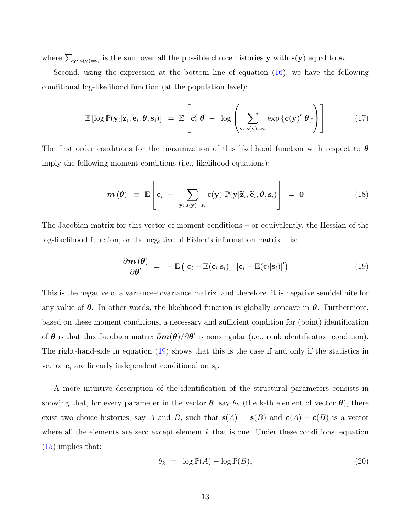where  $\sum_{\mathbf{y}:\ \mathbf{s}(\mathbf{y})=\mathbf{s}_i}$  is the sum over all the possible choice histories  $\mathbf{y}$  with  $\mathbf{s}(\mathbf{y})$  equal to  $\mathbf{s}_i$ .

Second, using the expression at the bottom line of equation [\(16\)](#page-13-1), we have the following conditional log-likelihood function (at the population level):

$$
\mathbb{E}\left[\log \mathbb{P}(\mathbf{y}_i|\widetilde{\mathbf{z}}_i,\widetilde{\mathbf{e}}_i,\boldsymbol{\theta},\mathbf{s}_i)\right] = \mathbb{E}\left[\mathbf{c}'_i \boldsymbol{\theta} - \log \left(\sum_{\mathbf{y}: \; \mathbf{s}(\mathbf{y})=\mathbf{s}_i} \exp \left\{\mathbf{c}(\mathbf{y})'\boldsymbol{\theta}\right\}\right)\right]
$$
(17)

The first order conditions for the maximization of this likelihood function with respect to  $\theta$ imply the following moment conditions (i.e., likelihood equations):

$$
\boldsymbol{m}(\boldsymbol{\theta}) \equiv \mathbb{E}\left[\mathbf{c}_i - \sum_{\mathbf{y}: \; \mathbf{s}(\mathbf{y}) = \mathbf{s}_i} \mathbf{c}(\mathbf{y}) \; \mathbb{P}(\mathbf{y} | \widetilde{\mathbf{z}}_i, \widetilde{\mathbf{e}}_i, \boldsymbol{\theta}, \mathbf{s}_i) \right] = \mathbf{0} \tag{18}
$$

The Jacobian matrix for this vector of moment conditions – or equivalently, the Hessian of the log-likelihood function, or the negative of Fisher's information matrix – is:

<span id="page-14-0"></span>
$$
\frac{\partial \boldsymbol{m}(\boldsymbol{\theta})}{\partial \boldsymbol{\theta}'} = - \mathbb{E}\left( [\mathbf{c}_i - \mathbb{E}(\mathbf{c}_i | \mathbf{s}_i)] \ [\mathbf{c}_i - \mathbb{E}(\mathbf{c}_i | \mathbf{s}_i)]' \right) \tag{19}
$$

This is the negative of a variance-covariance matrix, and therefore, it is negative semidefinite for any value of  $\theta$ . In other words, the likelihood function is globally concave in  $\theta$ . Furthermore, based on these moment conditions, a necessary and sufficient condition for (point) identification of  $\theta$  is that this Jacobian matrix  $\partial m(\theta)/\partial \theta'$  is nonsingular (i.e., rank identification condition). The right-hand-side in equation [\(19\)](#page-14-0) shows that this is the case if and only if the statistics in vector  $\mathbf{c}_i$  are linearly independent conditional on  $\mathbf{s}_i$ .

A more intuitive description of the identification of the structural parameters consists in showing that, for every parameter in the vector  $\theta$ , say  $\theta_k$  (the k-th element of vector  $\theta$ ), there exist two choice histories, say A and B, such that  $s(A) = s(B)$  and  $c(A) - c(B)$  is a vector where all the elements are zero except element  $k$  that is one. Under these conditions, equation [\(15\)](#page-13-0) implies that:

$$
\theta_k = \log \mathbb{P}(A) - \log \mathbb{P}(B), \tag{20}
$$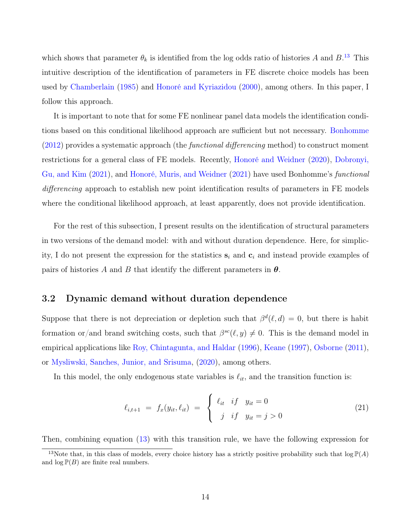which shows that parameter  $\theta_k$  is identified from the log odds ratio of histories A and  $B^{13}$  $B^{13}$  $B^{13}$ . This intuitive description of the identification of parameters in FE discrete choice models has been used by [Chamberlain](#page-23-9) [\(1985\)](#page-23-9) and [Honoré and Kyriazidou](#page-24-9) [\(2000\)](#page-24-9), among others. In this paper, I follow this approach.

It is important to note that for some FE nonlinear panel data models the identification conditions based on this conditional likelihood approach are sufficient but not necessary. [Bonhomme](#page-23-14)  $(2012)$  provides a systematic approach (the *functional differencing* method) to construct moment restrictions for a general class of FE models. Recently, [Honoré and Weidner](#page-24-13) [\(2020\)](#page-24-13), [Dobronyi,](#page-23-15) [Gu, and Kim](#page-23-15) [\(2021\)](#page-23-15), and [Honoré, Muris, and Weidner](#page-24-14) [\(2021\)](#page-24-14) have used Bonhomme's functional differencing approach to establish new point identification results of parameters in FE models where the conditional likelihood approach, at least apparently, does not provide identification.

For the rest of this subsection, I present results on the identification of structural parameters in two versions of the demand model: with and without duration dependence. Here, for simplicity, I do not present the expression for the statistics  $s_i$  and  $c_i$  and instead provide examples of pairs of histories A and B that identify the different parameters in  $\theta$ .

#### 3.2 Dynamic demand without duration dependence

Suppose that there is not depreciation or depletion such that  $\beta^d(\ell, d) = 0$ , but there is habit formation or/and brand switching costs, such that  $\beta^{sc}(\ell, y) \neq 0$ . This is the demand model in empirical applications like [Roy, Chintagunta, and Haldar](#page-25-1) [\(1996\)](#page-25-1), [Keane](#page-24-5) [\(1997\)](#page-24-5), [Osborne](#page-24-6) [\(2011\)](#page-24-6), or [Mysliwski, Sanches, Junior, and Srisuma,](#page-24-11) [\(2020\)](#page-24-11), among others.

In this model, the only endogenous state variables is  $\ell_{it}$ , and the transition function is:

$$
\ell_{i,t+1} = f_x(y_{it}, \ell_{it}) = \begin{cases} \ell_{it} & if \ y_{it} = 0 \\ j & if \ y_{it} = j > 0 \end{cases}
$$
 (21)

Then, combining equation [\(13\)](#page-11-1) with this transition rule, we have the following expression for

<span id="page-15-0"></span><sup>&</sup>lt;sup>13</sup>Note that, in this class of models, every choice history has a strictly positive probability such that  $\log P(A)$ and  $\log P(B)$  are finite real numbers.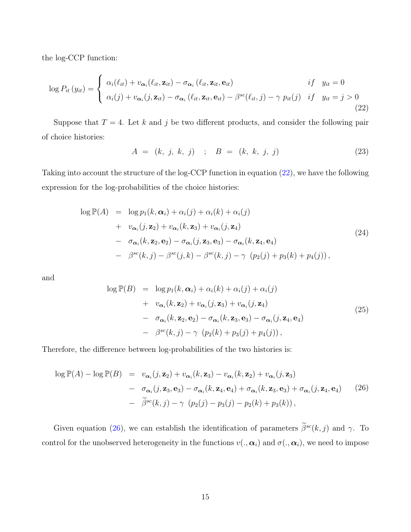the log-CCP function:

<span id="page-16-0"></span>
$$
\log P_{it}(y_{it}) = \begin{cases} \alpha_i(\ell_{it}) + v_{\alpha_i}(\ell_{it}, \mathbf{z}_{it}) - \sigma_{\alpha_i}(\ell_{it}, \mathbf{z}_{it}, \mathbf{e}_{it}) & \text{if} \quad y_{it} = 0\\ \alpha_i(j) + v_{\alpha_i}(j, \mathbf{z}_{it}) - \sigma_{\alpha_i}(\ell_{it}, \mathbf{z}_{it}, \mathbf{e}_{it}) - \beta^{sc}(\ell_{it}, j) - \gamma \ p_{it}(j) & \text{if} \quad y_{it} = j > 0 \end{cases} \tag{22}
$$

Suppose that  $T = 4$ . Let k and j be two different products, and consider the following pair of choice histories:

<span id="page-16-2"></span>
$$
A = (k, j, k, j) \quad ; \quad B = (k, k, j, j) \tag{23}
$$

Taking into account the structure of the log-CCP function in equation [\(22\)](#page-16-0), we have the following expression for the log-probabilities of the choice histories:

$$
\log \mathbb{P}(A) = \log p_1(k, \alpha_i) + \alpha_i(j) + \alpha_i(k) + \alpha_i(j)
$$
  
+ 
$$
v_{\alpha_i}(j, \mathbf{z}_2) + v_{\alpha_i}(k, \mathbf{z}_3) + v_{\alpha_i}(j, \mathbf{z}_4)
$$
  
- 
$$
\sigma_{\alpha_i}(k, \mathbf{z}_2, \mathbf{e}_2) - \sigma_{\alpha_i}(j, \mathbf{z}_3, \mathbf{e}_3) - \sigma_{\alpha_i}(k, \mathbf{z}_4, \mathbf{e}_4)
$$
  
- 
$$
\beta^{sc}(k, j) - \beta^{sc}(j, k) - \beta^{sc}(k, j) - \gamma \left( p_2(j) + p_3(k) + p_4(j) \right),
$$
 (24)

and

$$
\log \mathbb{P}(B) = \log p_1(k, \alpha_i) + \alpha_i(k) + \alpha_i(j) + \alpha_i(j)
$$
  
+ 
$$
v_{\alpha_i}(k, \mathbf{z}_2) + v_{\alpha_i}(j, \mathbf{z}_3) + v_{\alpha_i}(j, \mathbf{z}_4)
$$
  
- 
$$
\sigma_{\alpha_i}(k, \mathbf{z}_2, \mathbf{e}_2) - \sigma_{\alpha_i}(k, \mathbf{z}_3, \mathbf{e}_3) - \sigma_{\alpha_i}(j, \mathbf{z}_4, \mathbf{e}_4)
$$
  
- 
$$
\beta^{sc}(k, j) - \gamma \left( p_2(k) + p_3(j) + p_4(j) \right),
$$
 (25)

Therefore, the difference between log-probabilities of the two histories is:

<span id="page-16-1"></span>
$$
\log \mathbb{P}(A) - \log \mathbb{P}(B) = v_{\alpha_i}(j, \mathbf{z}_2) + v_{\alpha_i}(k, \mathbf{z}_3) - v_{\alpha_i}(k, \mathbf{z}_2) + v_{\alpha_i}(j, \mathbf{z}_3)
$$
  
- 
$$
\sigma_{\alpha_i}(j, \mathbf{z}_3, \mathbf{e}_3) - \sigma_{\alpha_i}(k, \mathbf{z}_4, \mathbf{e}_4) + \sigma_{\alpha_i}(k, \mathbf{z}_3, \mathbf{e}_3) + \sigma_{\alpha_i}(j, \mathbf{z}_4, \mathbf{e}_4)
$$
 (26)  
- 
$$
\widetilde{\beta}^{sc}(k, j) - \gamma \left( p_2(j) - p_3(j) - p_2(k) + p_3(k) \right),
$$

Given equation [\(26\)](#page-16-1), we can establish the identification of parameters  $\tilde{\beta}^{sc}(k, j)$  and  $\gamma$ . To control for the unobserved heterogeneity in the functions  $v(., \alpha_i)$  and  $\sigma(., \alpha_i)$ , we need to impose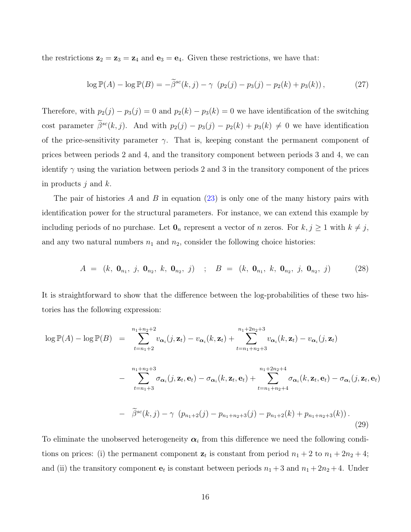the restrictions  $z_2 = z_3 = z_4$  and  $e_3 = e_4$ . Given these restrictions, we have that:

$$
\log \mathbb{P}(A) - \log \mathbb{P}(B) = -\tilde{\beta}^{sc}(k, j) - \gamma \left( p_2(j) - p_3(j) - p_2(k) + p_3(k) \right),\tag{27}
$$

Therefore, with  $p_2(j) - p_3(j) = 0$  and  $p_2(k) - p_3(k) = 0$  we have identification of the switching cost parameter  $\tilde{\beta}^{sc}(k, j)$ . And with  $p_2(j) - p_3(j) - p_2(k) + p_3(k) \neq 0$  we have identification of the price-sensitivity parameter  $\gamma$ . That is, keeping constant the permanent component of prices between periods 2 and 4, and the transitory component between periods 3 and 4, we can identify  $\gamma$  using the variation between periods 2 and 3 in the transitory component of the prices in products  $j$  and  $k$ .

The pair of histories A and B in equation  $(23)$  is only one of the many history pairs with identification power for the structural parameters. For instance, we can extend this example by including periods of no purchase. Let  $\mathbf{0}_n$  represent a vector of n zeros. For  $k, j \geq 1$  with  $k \neq j$ , and any two natural numbers  $n_1$  and  $n_2$ , consider the following choice histories:

$$
A = (k, 0_{n_1}, j, 0_{n_2}, k, 0_{n_2}, j) \quad ; \quad B = (k, 0_{n_1}, k, 0_{n_2}, j, 0_{n_2}, j) \tag{28}
$$

It is straightforward to show that the difference between the log-probabilities of these two histories has the following expression:

$$
\log \mathbb{P}(A) - \log \mathbb{P}(B) = \sum_{t=n_1+2}^{n_1+n_2+2} v_{\alpha_i}(j, \mathbf{z}_t) - v_{\alpha_i}(k, \mathbf{z}_t) + \sum_{t=n_1+n_2+3}^{n_1+2n_2+3} v_{\alpha_i}(k, \mathbf{z}_t) - v_{\alpha_i}(j, \mathbf{z}_t)
$$
  

$$
- \sum_{t=n_1+3}^{n_1+n_2+3} \sigma_{\alpha_i}(j, \mathbf{z}_t, \mathbf{e}_t) - \sigma_{\alpha_i}(k, \mathbf{z}_t, \mathbf{e}_t) + \sum_{t=n_1+n_2+4}^{n_1+2n_2+4} \sigma_{\alpha_i}(k, \mathbf{z}_t, \mathbf{e}_t) - \sigma_{\alpha_i}(j, \mathbf{z}_t, \mathbf{e}_t)
$$
  

$$
- \widetilde{\beta}^{sc}(k, j) - \gamma \left( p_{n_1+2}(j) - p_{n_1+n_2+3}(j) - p_{n_1+2}(k) + p_{n_1+n_2+3}(k) \right).
$$
(29)

To eliminate the unobserved heterogeneity  $\alpha_i$  from this difference we need the following conditions on prices: (i) the permanent component  $z_t$  is constant from period  $n_1 + 2$  to  $n_1 + 2n_2 + 4$ ; and (ii) the transitory component  $e_t$  is constant between periods  $n_1 + 3$  and  $n_1 + 2n_2 + 4$ . Under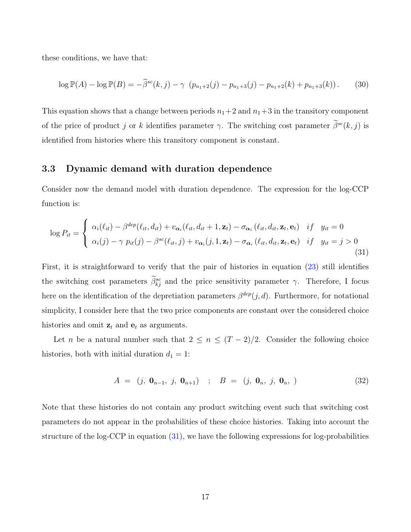these conditions, we have that:

$$
\log \mathbb{P}(A) - \log \mathbb{P}(B) = -\widetilde{\beta}^{sc}(k, j) - \gamma \left( p_{n_1+2}(j) - p_{n_1+3}(j) - p_{n_1+2}(k) + p_{n_1+3}(k) \right). \tag{30}
$$

This equation shows that a change between periods  $n_1+2$  and  $n_1+3$  in the transitory component of the price of product j or k identifies parameter  $\gamma$ . The switching cost parameter  $\tilde{\beta}^{sc}(k, j)$  is identified from histories where this transitory component is constant.

#### 3.3 Dynamic demand with duration dependence

Consider now the demand model with duration dependence. The expression for the log-CCP function is:

<span id="page-18-0"></span>
$$
\log P_{it} = \begin{cases} \alpha_i(\ell_{it}) - \beta^{dep}(\ell_{it}, d_{it}) + v_{\alpha_i}(\ell_{it}, d_{it} + 1, \mathbf{z}_t) - \sigma_{\alpha_i}(\ell_{it}, d_{it}, \mathbf{z}_t, \mathbf{e}_t) & if y_{it} = 0 \\ \alpha_i(j) - \gamma p_{it}(j) - \beta^{sc}(\ell_{it}, j) + v_{\alpha_i}(j, 1, \mathbf{z}_t) - \sigma_{\alpha_i}(\ell_{it}, d_{it}, \mathbf{z}_t, \mathbf{e}_t) & if y_{it} = j > 0 \end{cases}
$$
\n(31)

First, it is straightforward to verify that the pair of histories in equation [\(23\)](#page-16-2) still identifies the switching cost parameters  $\hat{\beta}_{kj}^{sc}$  and the price sensitivity parameter  $\gamma$ . Therefore, I focus here on the identification of the depretiation parameters  $\beta^{dep}(j, d)$ . Furthermore, for notational simplicity, I consider here that the two price components are constant over the considered choice histories and omit  $z_t$  and  $e_t$  as arguments.

Let n be a natural number such that  $2 \leq n \leq (T-2)/2$ . Consider the following choice histories, both with initial duration  $d_1 = 1$ :

$$
A = (j, 0_{n-1}, j, 0_{n+1}) \quad ; \quad B = (j, 0_n, j, 0_n, ) \tag{32}
$$

Note that these histories do not contain any product switching event such that switching cost parameters do not appear in the probabilities of these choice histories. Taking into account the structure of the log-CCP in equation [\(31\)](#page-18-0), we have the following expressions for log-probabilities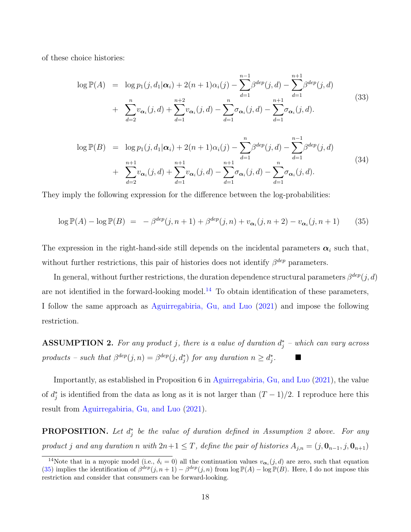of these choice histories:

$$
\log \mathbb{P}(A) = \log p_1(j, d_1 | \alpha_i) + 2(n+1)\alpha_i(j) - \sum_{d=1}^{n-1} \beta^{dep}(j, d) - \sum_{d=1}^{n+1} \beta^{dep}(j, d)
$$
  
+ 
$$
\sum_{d=2}^{n} v_{\alpha_i}(j, d) + \sum_{d=1}^{n+2} v_{\alpha_i}(j, d) - \sum_{d=1}^{n} \sigma_{\alpha_i}(j, d) - \sum_{d=1}^{n+1} \sigma_{\alpha_i}(j, d). \tag{33}
$$

$$
\log \mathbb{P}(B) = \log p_1(j, d_1 | \alpha_i) + 2(n+1)\alpha_i(j) - \sum_{d=1}^n \beta^{dep}(j, d) - \sum_{d=1}^{n-1} \beta^{dep}(j, d)
$$
  
+ 
$$
\sum_{d=2}^{n+1} v_{\alpha_i}(j, d) + \sum_{d=1}^{n+1} v_{\alpha_i}(j, d) - \sum_{d=1}^{n+1} \sigma_{\alpha_i}(j, d) - \sum_{d=1}^{n} \sigma_{\alpha_i}(j, d). \tag{34}
$$

They imply the following expression for the difference between the log-probabilities:

<span id="page-19-1"></span>
$$
\log \mathbb{P}(A) - \log \mathbb{P}(B) = -\beta^{\text{dep}}(j, n+1) + \beta^{\text{dep}}(j, n) + v_{\alpha_i}(j, n+2) - v_{\alpha_i}(j, n+1) \tag{35}
$$

The expression in the right-hand-side still depends on the incidental parameters  $\alpha_i$  such that, without further restrictions, this pair of histories does not identify  $\beta^{dep}$  parameters.

In general, without further restrictions, the duration dependence structural parameters  $\beta^{dep}(j, d)$ are not identified in the forward-looking model.<sup>[14](#page-19-0)</sup> To obtain identification of these parameters, I follow the same approach as [Aguirregabiria, Gu, and Luo](#page-23-7) [\(2021\)](#page-23-7) and impose the following restriction.

**ASSUMPTION 2.** For any product j, there is a value of duration  $d_j^*$  – which can vary across products – such that  $\beta^{dep}(j, n) = \beta^{dep}(j, d_j^*)$  for any duration  $n \ge d_j^*$ .

Importantly, as established in Proposition 6 in [Aguirregabiria, Gu, and Luo](#page-23-7) [\(2021\)](#page-23-7), the value of  $d_j^*$  is identified from the data as long as it is not larger than  $(T-1)/2$ . I reproduce here this result from [Aguirregabiria, Gu, and Luo](#page-23-7) [\(2021\)](#page-23-7).

**PROPOSITION.** Let  $d_j^*$  be the value of duration defined in Assumption 2 above. For any product j and any duration n with  $2n+1 \leq T$ , define the pair of histories  $A_{j,n} = (j, \mathbf{0}_{n-1}, j, \mathbf{0}_{n+1})$ 

<span id="page-19-0"></span><sup>&</sup>lt;sup>14</sup>Note that in a myopic model (i.e.,  $\delta_i = 0$ ) all the continuation values  $v_{\alpha_i}(j, d)$  are zero, such that equation [\(35\)](#page-19-1) implies the identification of  $\beta^{\text{dep}}(j, n+1) - \beta^{\text{dep}}(j, n)$  from  $\log \mathbb{P}(A) - \log \mathbb{P}(B)$ . Here, I do not impose this restriction and consider that consumers can be forward-looking.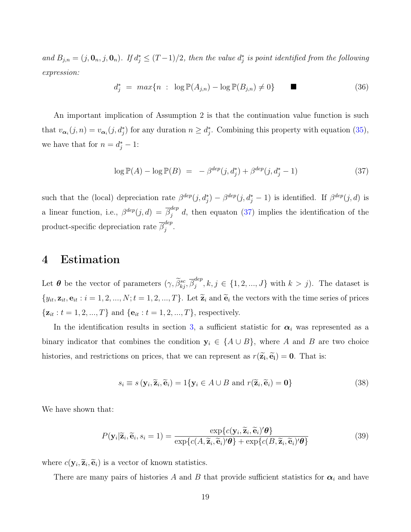and  $B_{j,n} = (j, \mathbf{0}_n, j, \mathbf{0}_n)$ . If  $d_j^* \leq (T-1)/2$ , then the value  $d_j^*$  is point identified from the following expression:

$$
d_j^* = \max\{n : \log \mathbb{P}(A_{j,n}) - \log \mathbb{P}(B_{j,n}) \neq 0\}
$$
 (36)

An important implication of Assumption 2 is that the continuation value function is such that  $v_{\alpha_i}(j,n) = v_{\alpha_i}(j,d_j^*)$  for any duration  $n \geq d_j^*$ . Combining this property with equation [\(35\)](#page-19-1), we have that for  $n = d_j^* - 1$ :

<span id="page-20-1"></span>
$$
\log \mathbb{P}(A) - \log \mathbb{P}(B) = -\beta^{\text{dep}}(j, d_j^*) + \beta^{\text{dep}}(j, d_j^* - 1)
$$
\n(37)

such that the (local) depreciation rate  $\beta^{dep}(j, d_j^*) - \beta^{dep}(j, d_j^* - 1)$  is identified. If  $\beta^{dep}(j, d)$  is a linear function, i.e.,  $\beta^{dep}(j, d) = \overline{\beta}^{dep}_j d$ , then equaton [\(37\)](#page-20-1) implies the identification of the product-specific depreciation rate  $\overline{\beta}_i^{dep}$  $\frac{a e p}{j}$ .

### <span id="page-20-0"></span>4 Estimation

Let  $\boldsymbol{\theta}$  be the vector of parameters  $(\gamma, \widetilde{\beta}_{kj}^{sc}, \overline{\beta}_{j}^{dep})$  $j_j^{def}, k, j \in \{1, 2, ..., J\}$  with  $k > j$ ). The dataset is  $\{y_{it}, \mathbf{z}_{it}, \mathbf{e}_{it} : i = 1, 2, ..., N; t = 1, 2, ..., T\}$ . Let  $\widetilde{\mathbf{z}}_i$  and  $\widetilde{\mathbf{e}}_i$  the vectors with the time series of prices  $\{z_{it}: t = 1, 2, ..., T\}$  and  $\{e_{it}: t = 1, 2, ..., T\}$ , respectively.

In the identification results in section [3,](#page-11-0) a sufficient statistic for  $\alpha_i$  was represented as a binary indicator that combines the condition  $y_i \in \{A \cup B\}$ , where A and B are two choice histories, and restrictions on prices, that we can represent as  $r(\tilde{\mathbf{z}}_i, \tilde{\mathbf{e}}_i) = \mathbf{0}$ . That is:

$$
s_i \equiv s(\mathbf{y}_i, \widetilde{\mathbf{z}}_i, \widetilde{\mathbf{e}}_i) = 1\{\mathbf{y}_i \in A \cup B \text{ and } r(\widetilde{\mathbf{z}}_i, \widetilde{\mathbf{e}}_i) = \mathbf{0}\}\
$$
(38)

We have shown that:

$$
P(\mathbf{y}_i|\widetilde{\mathbf{z}}_i, \widetilde{\mathbf{e}}_i, s_i = 1) = \frac{\exp\{c(\mathbf{y}_i, \widetilde{\mathbf{z}}_i, \widetilde{\mathbf{e}}_i)'\boldsymbol{\theta}\}}{\exp\{c(A, \widetilde{\mathbf{z}}_i, \widetilde{\mathbf{e}}_i)'\boldsymbol{\theta}\} + \exp\{c(B, \widetilde{\mathbf{z}}_i, \widetilde{\mathbf{e}}_i)'\boldsymbol{\theta}\}}
$$
(39)

where  $c(\mathbf{y}_i, \widetilde{\mathbf{z}}_i, \widetilde{\mathbf{e}}_i)$  is a vector of known statistics.

There are many pairs of histories A and B that provide sufficient statistics for  $\alpha_i$  and have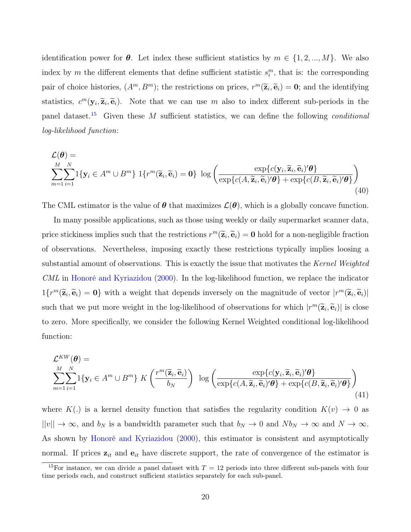identification power for  $\theta$ . Let index these sufficient statistics by  $m \in \{1, 2, ..., M\}$ . We also index by m the different elements that define sufficient statistic  $s_i^m$ , that is: the corresponding pair of choice histories,  $(A^m, B^m)$ ; the restrictions on prices,  $r^m(\tilde{\mathbf{z}}_i, \tilde{\mathbf{e}}_i) = \mathbf{0}$ ; and the identifying statistics,  $c^m(\mathbf{y}_i, \tilde{\mathbf{z}}_i, \tilde{\mathbf{e}}_i)$ . Note that we can use m also to index different sub-periods in the panel dataset.<sup>[15](#page-21-0)</sup> Given these M sufficient statistics, we can define the following *conditional* log-likelihood function:

$$
\mathcal{L}(\boldsymbol{\theta}) = \sum_{m=1}^{M} \sum_{i=1}^{N} \mathbb{1}\{\mathbf{y}_i \in A^m \cup B^m\} \mathbb{1}\{r^m(\widetilde{\mathbf{z}}_i, \widetilde{\mathbf{e}}_i) = \mathbf{0}\} \log \left(\frac{\exp\{c(\mathbf{y}_i, \widetilde{\mathbf{z}}_i, \widetilde{\mathbf{e}}_i) \prime \boldsymbol{\theta}\}}{\exp\{c(A, \widetilde{\mathbf{z}}_i, \widetilde{\mathbf{e}}_i) \prime \boldsymbol{\theta}\} + \exp\{c(B, \widetilde{\mathbf{z}}_i, \widetilde{\mathbf{e}}_i) \prime \boldsymbol{\theta}\}}\right)
$$
\n(40)

The CML estimator is the value of  $\theta$  that maximizes  $\mathcal{L}(\theta)$ , which is a globally concave function.

In many possible applications, such as those using weekly or daily supermarket scanner data, price stickiness implies such that the restrictions  $r^m(\tilde{\mathbf{z}}_i, \tilde{\mathbf{e}}_i) = \mathbf{0}$  hold for a non-negligible fraction of observations. Nevertheless, imposing exactly these restrictions typically implies loosing a substantial amount of observations. This is exactly the issue that motivates the Kernel Weighted CML in [Honoré and Kyriazidou](#page-24-9) [\(2000\)](#page-24-9). In the log-likelihood function, we replace the indicator  $1\{r^m(\widetilde{\mathbf{z}}_i, \widetilde{\mathbf{e}}_i) = \mathbf{0}\}\)$  with a weight that depends inversely on the magnitude of vector  $|r^m(\widetilde{\mathbf{z}}_i, \widetilde{\mathbf{e}}_i)|$ such that we put more weight in the log-likelihood of observations for which  $|r^m(\widetilde{\mathbf{z}}_i, \widetilde{\mathbf{e}}_i)|$  is close to zero. More specifically, we consider the following Kernel Weighted conditional log-likelihood function:

$$
\mathcal{L}^{KW}(\boldsymbol{\theta}) = \sum_{m=1}^{M} \sum_{i=1}^{N} 1\{y_i \in A^m \cup B^m\} K\left(\frac{r^m(\widetilde{\mathbf{z}}_i, \widetilde{\mathbf{e}}_i)}{b_N}\right) \log\left(\frac{\exp\{c(\mathbf{y}_i, \widetilde{\mathbf{z}}_i, \widetilde{\mathbf{e}}_i)'\boldsymbol{\theta}\}}{\exp\{c(A, \widetilde{\mathbf{z}}_i, \widetilde{\mathbf{e}}_i)'\boldsymbol{\theta}\} + \exp\{c(B, \widetilde{\mathbf{z}}_i, \widetilde{\mathbf{e}}_i)'\boldsymbol{\theta}\}}\right)
$$
\n(41)

where  $K(.)$  is a kernel density function that satisfies the regularity condition  $K(v) \rightarrow 0$  as  $||v|| \to \infty$ , and  $b_N$  is a bandwidth parameter such that  $b_N \to 0$  and  $Nb_N \to \infty$  and  $N \to \infty$ . As shown by [Honoré and Kyriazidou](#page-24-9) [\(2000\)](#page-24-9), this estimator is consistent and asymptotically normal. If prices  $z_{it}$  and  $e_{it}$  have discrete support, the rate of convergence of the estimator is

<span id="page-21-0"></span><sup>&</sup>lt;sup>15</sup>For instance, we can divide a panel dataset with  $T = 12$  periods into three different sub-panels with four time periods each, and construct sufficient statistics separately for each sub-panel.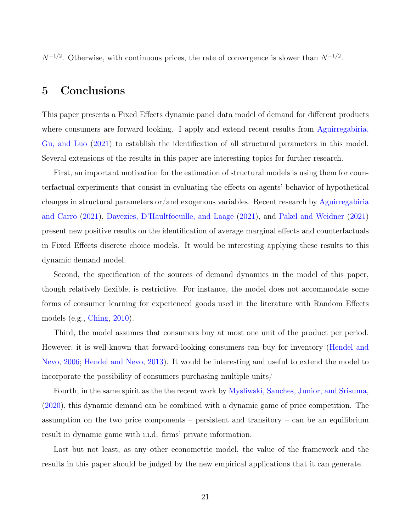$N^{-1/2}$ . Otherwise, with continuous prices, the rate of convergence is slower than  $N^{-1/2}$ .

# <span id="page-22-0"></span>5 Conclusions

This paper presents a Fixed Effects dynamic panel data model of demand for different products where consumers are forward looking. I apply and extend recent results from [Aguirregabiria,](#page-23-7) [Gu, and Luo](#page-23-7) [\(2021\)](#page-23-7) to establish the identification of all structural parameters in this model. Several extensions of the results in this paper are interesting topics for further research.

First, an important motivation for the estimation of structural models is using them for counterfactual experiments that consist in evaluating the effects on agents' behavior of hypothetical changes in structural parameters or/and exogenous variables. Recent research by [Aguirregabiria](#page-23-8) [and Carro](#page-23-8) [\(2021\)](#page-23-8), [Davezies, D'Haultfoeuille, and Laage](#page-23-11) [\(2021\)](#page-23-11), and [Pakel and Weidner](#page-25-5) [\(2021\)](#page-25-5) present new positive results on the identification of average marginal effects and counterfactuals in Fixed Effects discrete choice models. It would be interesting applying these results to this dynamic demand model.

Second, the specification of the sources of demand dynamics in the model of this paper, though relatively flexible, is restrictive. For instance, the model does not accommodate some forms of consumer learning for experienced goods used in the literature with Random Effects models (e.g., [Ching,](#page-23-5) [2010\)](#page-23-5).

Third, the model assumes that consumers buy at most one unit of the product per period. However, it is well-known that forward-looking consumers can buy for inventory [\(Hendel and](#page-24-1) [Nevo,](#page-24-1) [2006;](#page-24-1) [Hendel and Nevo,](#page-24-15) [2013\)](#page-24-15). It would be interesting and useful to extend the model to incorporate the possibility of consumers purchasing multiple units/

Fourth, in the same spirit as the the recent work by [Mysliwski, Sanches, Junior, and Srisuma,](#page-24-11) [\(2020\)](#page-24-11), this dynamic demand can be combined with a dynamic game of price competition. The assumption on the two price components – persistent and transitory – can be an equilibrium result in dynamic game with i.i.d. firms' private information.

Last but not least, as any other econometric model, the value of the framework and the results in this paper should be judged by the new empirical applications that it can generate.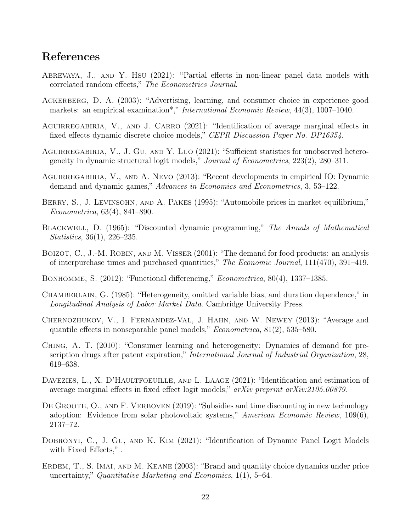# References

- <span id="page-23-6"></span>Abrevaya, J., and Y. Hsu (2021): "Partial effects in non-linear panel data models with correlated random effects," The Econometrics Journal.
- <span id="page-23-4"></span>Ackerberg, D. A. (2003): "Advertising, learning, and consumer choice in experience good markets: an empirical examination<sup>\*</sup>," *International Economic Review*, 44(3), 1007-1040.
- <span id="page-23-8"></span>AGUIRREGABIRIA, V., AND J. CARRO (2021): "Identification of average marginal effects in fixed effects dynamic discrete choice models," CEPR Discussion Paper No. DP16354.
- <span id="page-23-7"></span>AGUIRREGABIRIA, V., J. GU, AND Y. LUO (2021): "Sufficient statistics for unobserved heterogeneity in dynamic structural logit models," Journal of Econometrics, 223(2), 280–311.
- <span id="page-23-12"></span>AGUIRREGABIRIA, V., AND A. NEVO (2013): "Recent developments in empirical IO: Dynamic demand and dynamic games," Advances in Economics and Econometrics, 3, 53–122.
- <span id="page-23-0"></span>BERRY, S., J. LEVINSOHN, AND A. PAKES (1995): "Automobile prices in market equilibrium," Econometrica, 63(4), 841–890.
- <span id="page-23-13"></span>BLACKWELL, D. (1965): "Discounted dynamic programming," The Annals of Mathematical Statistics, 36(1), 226–235.
- <span id="page-23-1"></span>BOIZOT, C., J.-M. ROBIN, AND M. VISSER (2001): "The demand for food products: an analysis of interpurchase times and purchased quantities," The Economic Journal, 111(470), 391–419.
- <span id="page-23-14"></span>BONHOMME, S. (2012): "Functional differencing," *Econometrica*, 80(4), 1337–1385.
- <span id="page-23-9"></span>Chamberlain, G. (1985): "Heterogeneity, omitted variable bias, and duration dependence," in Longitudinal Analysis of Labor Market Data. Cambridge University Press.
- <span id="page-23-10"></span>Chernozhukov, V., I. Fernandez-Val, J. Hahn, and W. Newey (2013): "Average and quantile effects in nonseparable panel models," Econometrica, 81(2), 535–580.
- <span id="page-23-5"></span>Ching, A. T. (2010): "Consumer learning and heterogeneity: Dynamics of demand for prescription drugs after patent expiration," International Journal of Industrial Organization, 28, 619–638.
- <span id="page-23-11"></span>DAVEZIES, L., X. D'HAULTFOEUILLE, AND L. LAAGE (2021): "Identification and estimation of average marginal effects in fixed effect logit models," arXiv preprint arXiv:2105.00879.
- <span id="page-23-3"></span>DE GROOTE, O., AND F. VERBOVEN (2019): "Subsidies and time discounting in new technology adoption: Evidence from solar photovoltaic systems," American Economic Review, 109(6), 2137–72.
- <span id="page-23-15"></span>DOBRONYI, C., J. GU, AND K. KIM (2021): "Identification of Dynamic Panel Logit Models with Fixed Effects,".
- <span id="page-23-2"></span>ERDEM, T., S. IMAI, AND M. KEANE (2003): "Brand and quantity choice dynamics under price uncertainty," Quantitative Marketing and Economics, 1(1), 5–64.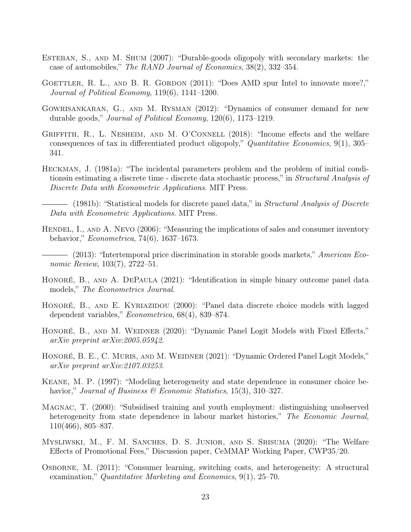- <span id="page-24-2"></span>Esteban, S., and M. Shum (2007): "Durable-goods oligopoly with secondary markets: the case of automobiles," The RAND Journal of Economics, 38(2), 332–354.
- <span id="page-24-3"></span>GOETTLER, R. L., AND B. R. GORDON (2011): "Does AMD spur Intel to innovate more?," Journal of Political Economy, 119(6), 1141–1200.
- <span id="page-24-4"></span>Gowrisankaran, G., and M. Rysman (2012): "Dynamics of consumer demand for new durable goods," Journal of Political Economy, 120(6), 1173–1219.
- <span id="page-24-10"></span>GRIFFITH, R., L. NESHEIM, AND M. O'CONNELL (2018): "Income effects and the welfare consequences of tax in differentiated product oligopoly," Quantitative Economics, 9(1), 305– 341.
- <span id="page-24-7"></span>Heckman, J. (1981a): "The incidental parameters problem and the problem of initial conditionsin estimating a discrete time - discrete data stochastic process," in Structural Analysis of Discrete Data with Econometric Applications. MIT Press.
- <span id="page-24-0"></span>(1981b): "Statistical models for discrete panel data," in *Structural Analysis of Discrete* Data with Econometric Applications. MIT Press.
- <span id="page-24-15"></span><span id="page-24-1"></span>HENDEL, I., AND A. NEVO (2006): "Measuring the implications of sales and consumer inventory behavior," Econometrica, 74(6), 1637–1673.
	- (2013): "Intertemporal price discrimination in storable goods markets," American Economic Review, 103(7), 2722–51.
- <span id="page-24-8"></span>HONORÉ, B., AND A. DEPAULA (2021): "Identification in simple binary outcome panel data models," The Econometrics Journal.
- <span id="page-24-9"></span>HONORÉ, B., AND E. KYRIAZIDOU (2000): "Panel data discrete choice models with lagged dependent variables," Econometrica, 68(4), 839–874.
- <span id="page-24-13"></span>HONORÉ, B., AND M. WEIDNER (2020): "Dynamic Panel Logit Models with Fixed Effects," arXiv preprint arXiv:2005.05942.
- <span id="page-24-14"></span>HONORÉ, B. E., C. MURIS, AND M. WEIDNER (2021): "Dynamic Ordered Panel Logit Models," arXiv preprint arXiv:2107.03253.
- <span id="page-24-5"></span>Keane, M. P. (1997): "Modeling heterogeneity and state dependence in consumer choice behavior," Journal of Business & Economic Statistics, 15(3), 310–327.
- <span id="page-24-12"></span>Magnac, T. (2000): "Subsidised training and youth employment: distinguishing unobserved heterogeneity from state dependence in labour market histories," The Economic Journal, 110(466), 805–837.
- <span id="page-24-11"></span>Mysliwski, M., F. M. Sanches, D. S. Junior, and S. Srisuma (2020): "The Welfare Effects of Promotional Fees," Discussion paper, CeMMAP Working Paper, CWP35/20.
- <span id="page-24-6"></span>Osborne, M. (2011): "Consumer learning, switching costs, and heterogeneity: A structural examination," Quantitative Marketing and Economics, 9(1), 25–70.